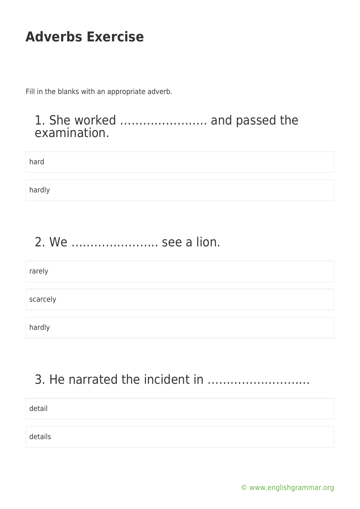Fill in the blanks with an appropriate adverb.

#### 1. She worked ………………….. and passed the examination.

| hard   |  |
|--------|--|
|        |  |
| hardly |  |

## 2. We ………………….. see a lion.

| rarely   |  |
|----------|--|
|          |  |
| scarcely |  |
|          |  |
| hardly   |  |

## 3. He narrated the incident in ………………………

detail

details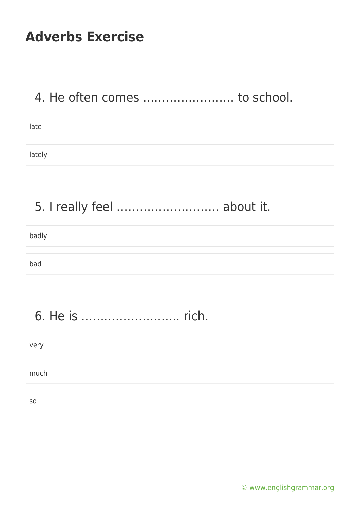#### 4. He often comes …………………… to school.

lately

## 5. I really feel ……………………… about it.

badly

bad

# 6. He is …………………….. rich.

| very           |  |
|----------------|--|
|                |  |
| much           |  |
|                |  |
| S <sub>0</sub> |  |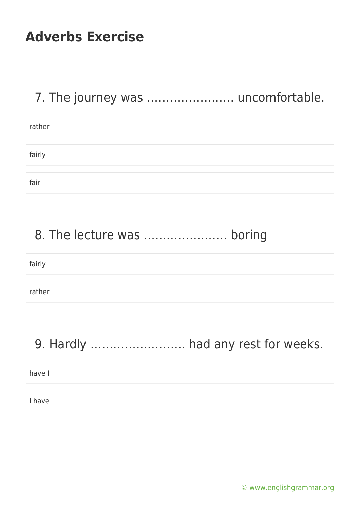## 7. The journey was ....................... uncomfortable.

| rather |  |
|--------|--|
|        |  |
|        |  |
| fairly |  |
|        |  |
|        |  |
| fair   |  |

### 8. The lecture was …………………. boring

| fairly |  |  |
|--------|--|--|
|        |  |  |
| rather |  |  |

#### 9. Hardly ……………………. had any rest for weeks.

have I

I have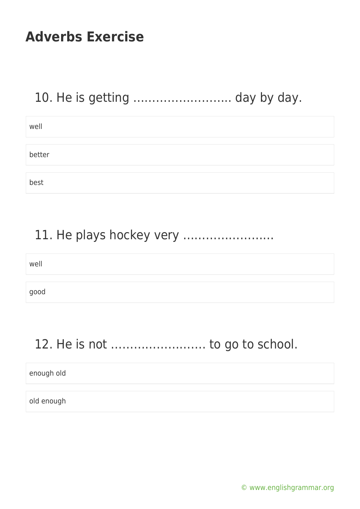## 10. He is getting …………………….. day by day.

| well   |  |
|--------|--|
|        |  |
| better |  |
|        |  |
| best   |  |

#### 11. He plays hockey very ……………………

| well |  |  |
|------|--|--|
|      |  |  |
| good |  |  |

## 12. He is not ……………………. to go to school.

enough old

old enough